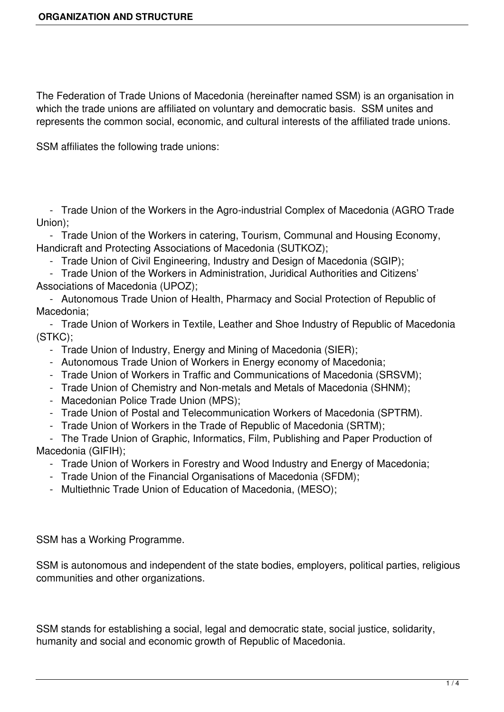The Federation of Trade Unions of Macedonia (hereinafter named SSM) is an organisation in which the trade unions are affiliated on voluntary and democratic basis. SSM unites and represents the common social, economic, and cultural interests of the affiliated trade unions.

SSM affiliates the following trade unions:

 - Trade Union of the Workers in the Agro-industrial Complex of Macedonia (AGRO Trade Union);

 - Trade Union of the Workers in catering, Tourism, Communal and Housing Economy, Handicraft and Protecting Associations of Macedonia (SUTKOZ);

- Trade Union of Civil Engineering, Industry and Design of Macedonia (SGIP);

 - Trade Union of the Workers in Administration, Juridical Authorities and Citizens' Associations of Macedonia (UPOZ);

 - Autonomous Trade Union of Health, Pharmacy and Social Protection of Republic of Macedonia;

 - Trade Union of Workers in Textile, Leather and Shoe Industry of Republic of Macedonia (STKC);

- Trade Union of Industry, Energy and Mining of Macedonia (SIER);
- Autonomous Trade Union of Workers in Energy economy of Macedonia;
- Trade Union of Workers in Traffic and Communications of Macedonia (SRSVM);
- Trade Union of Chemistry and Non-metals and Metals of Macedonia (SHNM);
- Macedonian Police Trade Union (MPS);
- Trade Union of Postal and Telecommunication Workers of Macedonia (SPTRM).
- Trade Union of Workers in the Trade of Republic of Macedonia (SRTM);

 - The Trade Union of Graphic, Informatics, Film, Publishing and Paper Production of Macedonia (GIFIH);

- Trade Union of Workers in Forestry and Wood Industry and Energy of Macedonia;
- Trade Union of the Financial Organisations of Macedonia (SFDM);
- Multiethnic Trade Union of Education of Macedonia, (MESO);

SSM has a Working Programme.

SSM is autonomous and independent of the state bodies, employers, political parties, religious communities and other organizations.

SSM stands for establishing a social, legal and democratic state, social justice, solidarity, humanity and social and economic growth of Republic of Macedonia.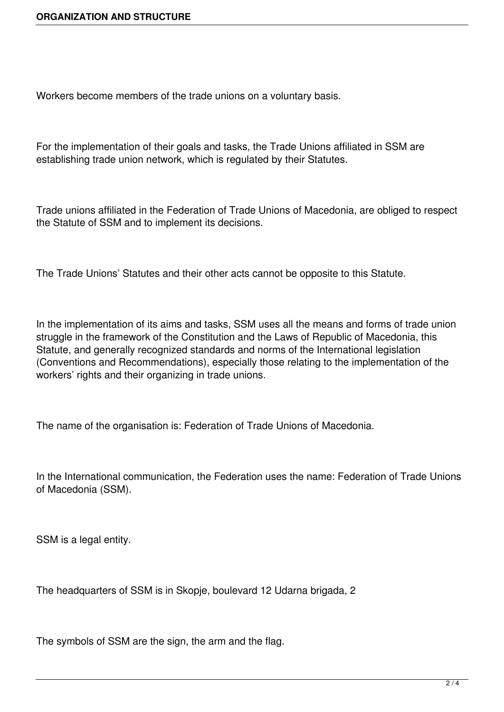Workers become members of the trade unions on a voluntary basis.

For the implementation of their goals and tasks, the Trade Unions affiliated in SSM are establishing trade union network, which is regulated by their Statutes.

Trade unions affiliated in the Federation of Trade Unions of Macedonia, are obliged to respect the Statute of SSM and to implement its decisions.

The Trade Unions' Statutes and their other acts cannot be opposite to this Statute.

In the implementation of its aims and tasks, SSM uses all the means and forms of trade union struggle in the framework of the Constitution and the Laws of Republic of Macedonia, this Statute, and generally recognized standards and norms of the International legislation (Conventions and Recommendations), especially those relating to the implementation of the workers' rights and their organizing in trade unions.

The name of the organisation is: Federation of Trade Unions of Macedonia.

In the International communication, the Federation uses the name: Federation of Trade Unions of Macedonia (SSM).

SSM is a legal entity.

The headquarters of SSM is in Skopje, boulevard 12 Udarna brigada, 2

The symbols of SSM are the sign, the arm and the flag.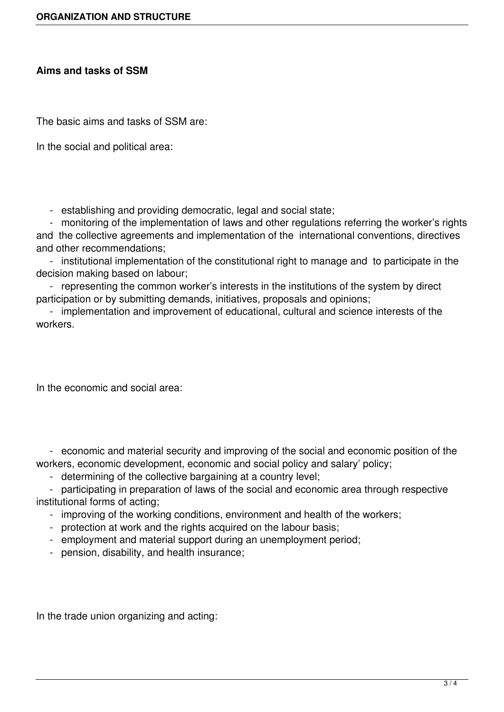## **Aims and tasks of SSM**

The basic aims and tasks of SSM are:

In the social and political area:

- establishing and providing democratic, legal and social state;

 - monitoring of the implementation of laws and other regulations referring the worker's rights and the collective agreements and implementation of the international conventions, directives and other recommendations;

 - institutional implementation of the constitutional right to manage and to participate in the decision making based on labour;

 - representing the common worker's interests in the institutions of the system by direct participation or by submitting demands, initiatives, proposals and opinions;

 - implementation and improvement of educational, cultural and science interests of the workers.

In the economic and social area:

 - economic and material security and improving of the social and economic position of the workers, economic development, economic and social policy and salary' policy;

- determining of the collective bargaining at a country level;

 - participating in preparation of laws of the social and economic area through respective institutional forms of acting;

- improving of the working conditions, environment and health of the workers;
- protection at work and the rights acquired on the labour basis;
- employment and material support during an unemployment period;
- pension, disability, and health insurance;

In the trade union organizing and acting: